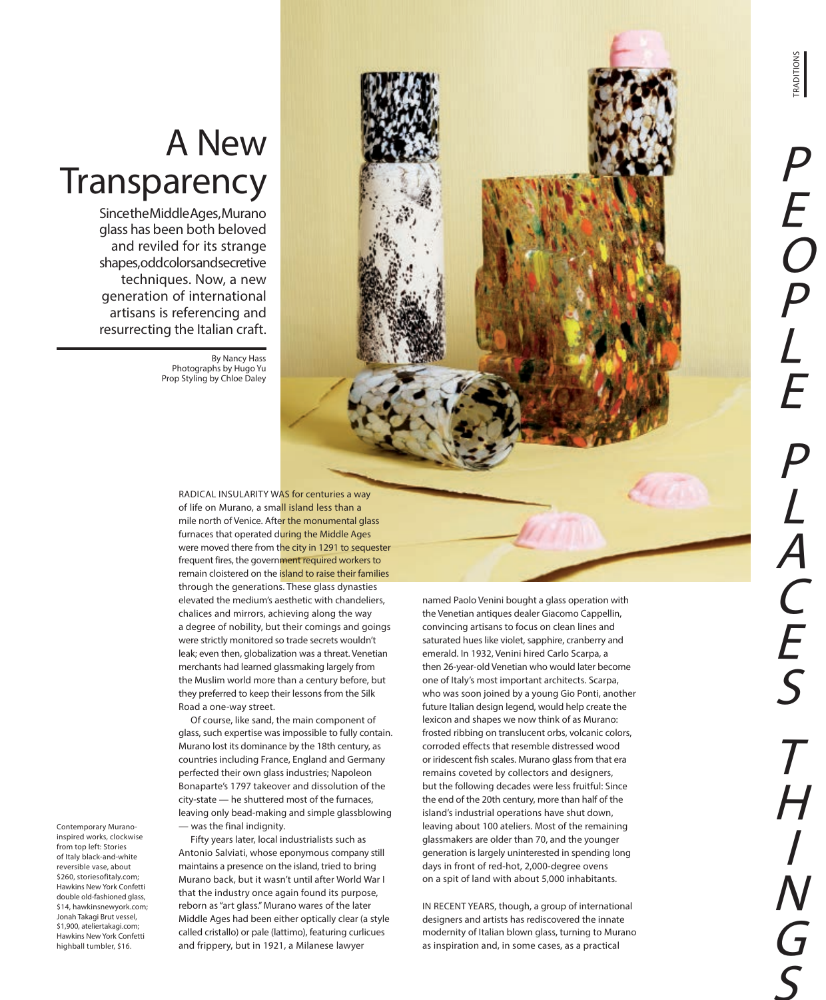W The



Since the Middle Ages, Murano glass has been both beloved and reviled for its strange shapes, odd colors and secretive techniques. Now, a new generation of international artisans is referencing and resurrecting the Italian craft.

> By Nancy Hass Photographs by Hugo Yu Prop Styling by Chloe Daley

> > RADICAL INSULARITY WAS for centuries a way of life on Murano, a small island less than a mile north of Venice. After the monumental glass furnaces that operated during the Middle Ages were moved there from the city in 1291 to sequester frequent fires, the government required workers to remain cloistered on the island to raise their families through the generations. These glass dynasties elevated the medium's aesthetic with chandeliers, chalices and mirrors, achieving along the way a degree of nobility, but their comings and goings were strictly monitored so trade secrets wouldn't leak; even then, globalization was a threat. Venetian merchants had learned glassmaking largely from the Muslim world more than a century before, but they preferred to keep their lessons from the Silk Road a one-way street.

> > Of course, like sand, the main component of glass, such expertise was impossible to fully contain. Murano lost its dominance by the 18th century, as countries including France, England and Germany perfected their own glass industries; Napoleon Bonaparte's 1797 takeover and dissolution of the city-state — he shuttered most of the furnaces, leaving only bead-making and simple glassblowing — was the final indignity.

Fifty years later, local industrialists such as Antonio Salviati, whose eponymous company still maintains a presence on the island, tried to bring Murano back, but it wasn't until after World War I that the industry once again found its purpose, reborn as "art glass." Murano wares of the later Middle Ages had been either optically clear (a style called cristallo) or pale (lattimo), featuring curlicues and frippery, but in 1921, a Milanese lawyer

named Paolo Venini bought a glass operation with the Venetian antiques dealer Giacomo Cappellin, convincing artisans to focus on clean lines and saturated hues like violet, sapphire, cranberry and emerald. In 1932, Venini hired Carlo Scarpa, a then 26-year-old Venetian who would later become one of Italy's most important architects. Scarpa, who was soon joined by a young Gio Ponti, another future Italian design legend, would help create the lexicon and shapes we now think of as Murano: frosted ribbing on translucent orbs, volcanic colors, corroded effects that resemble distressed wood or iridescent fish scales. Murano glass from that era remains coveted by collectors and designers, but the following decades were less fruitful: Since the end of the 20th century, more than half of the island's industrial operations have shut down, leaving about 100 ateliers. Most of the remaining glassmakers are older than 70, and the younger generation is largely uninterested in spending long days in front of red-hot, 2,000-degree ovens on a spit of land with about 5,000 inhabitants.

IN RECENT YEARS, though, a group of international designers and artists has rediscovered the innate modernity of Italian blown glass, turning to Murano as inspiration and, in some cases, as a practical

Contemporary Muranoinspired works, clockwise from top left: Stories of Italy black-and-white reversible vase, about \$260, storiesofitaly.com; Hawkins New York Confetti double old-fashioned glass, \$14, hawkinsnewyork.com; Jonah Takagi Brut vessel, \$1,900, ateliertakagi.com; Hawkins New York Confetti highball tumbler, \$16.